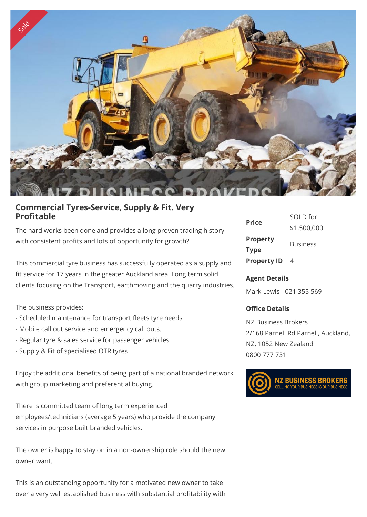

## **Commercial Tyres-Service, Supply & Fit. Very Profitable**

The hard works been done and provides a long proven trading history with consistent profits and lots of opportunity for growth?

This commercial tyre business has successfully operated as a supply and fit service for 17 years in the greater Auckland area. Long term solid clients focusing on the Transport, earthmoving and the quarry industries.

The business provides:

- Scheduled maintenance for transport fleets tyre needs
- Mobile call out service and emergency call outs.
- Regular tyre & sales service for passenger vehicles
- Supply & Fit of specialised OTR tyres

Enjoy the additional benefits of being part of a national branded network with group marketing and preferential buying.

There is committed team of long term experienced employees/technicians (average 5 years) who provide the company services in purpose built branded vehicles.

The owner is happy to stay on in a non-ownership role should the new owner want.

This is an outstanding opportunity for a motivated new owner to take over a very well established business with substantial profitability with

| Price              | SOLD for        |
|--------------------|-----------------|
|                    | \$1,500,000     |
| <b>Property</b>    | <b>Business</b> |
| Type               |                 |
| <b>Property ID</b> | 4               |

## **Agent Details**

Mark Lewis - 021 355 569

## **Office Details**

NZ Business Brokers 2/168 Parnell Rd Parnell, Auckland, NZ, 1052 New Zealand 0800 777 731